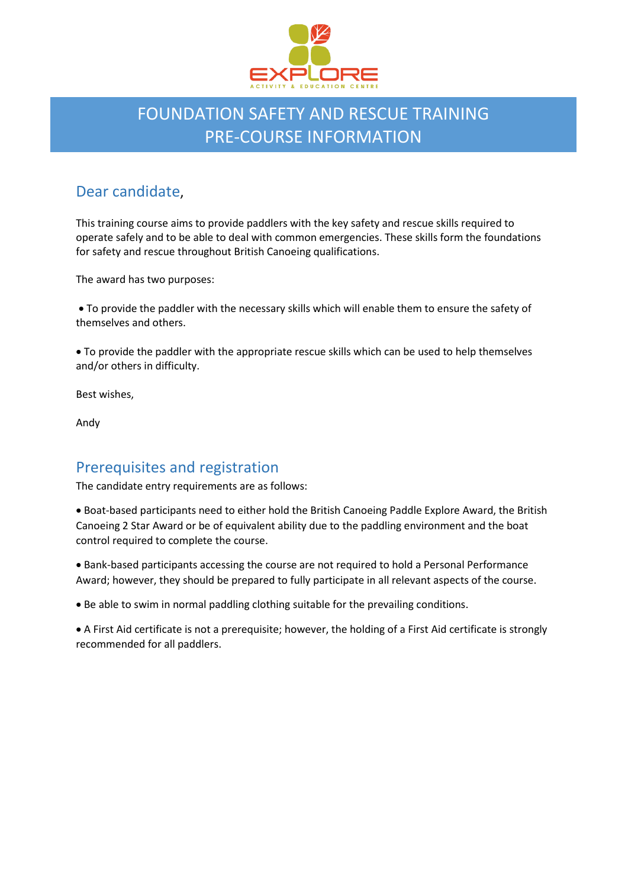

# FOUNDATION SAFETY AND RESCUE TRAINING PRE-COURSE INFORMATION

# Dear candidate,

This training course aims to provide paddlers with the key safety and rescue skills required to operate safely and to be able to deal with common emergencies. These skills form the foundations for safety and rescue throughout British Canoeing qualifications.

The award has two purposes:

• To provide the paddler with the necessary skills which will enable them to ensure the safety of themselves and others.

• To provide the paddler with the appropriate rescue skills which can be used to help themselves and/or others in difficulty.

Best wishes,

Andy

### Prerequisites and registration

The candidate entry requirements are as follows:

• Boat-based participants need to either hold the British Canoeing Paddle Explore Award, the British Canoeing 2 Star Award or be of equivalent ability due to the paddling environment and the boat control required to complete the course.

• Bank-based participants accessing the course are not required to hold a Personal Performance Award; however, they should be prepared to fully participate in all relevant aspects of the course.

• Be able to swim in normal paddling clothing suitable for the prevailing conditions.

• A First Aid certificate is not a prerequisite; however, the holding of a First Aid certificate is strongly recommended for all paddlers.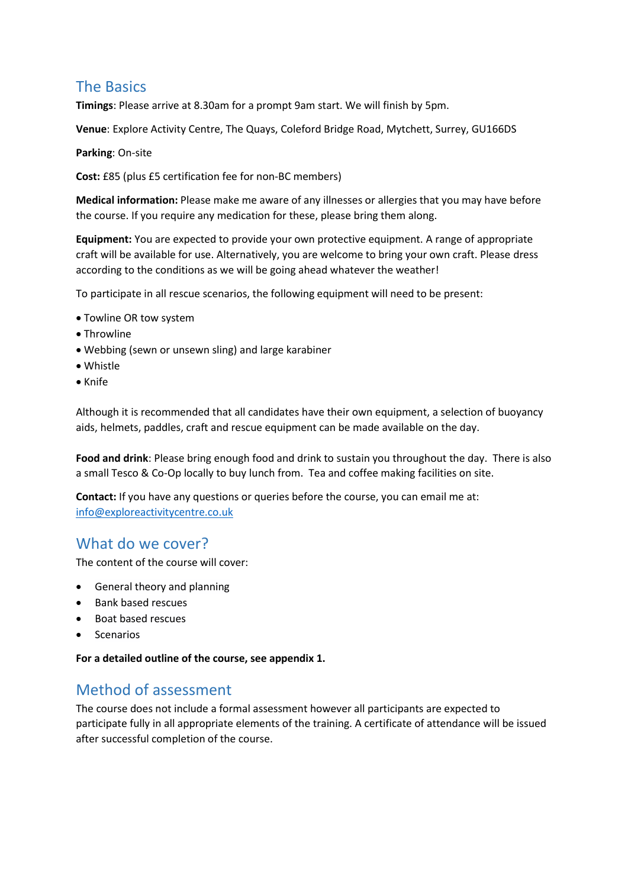### The Basics

**Timings**: Please arrive at 8.30am for a prompt 9am start. We will finish by 5pm.

**Venue**: Explore Activity Centre, The Quays, Coleford Bridge Road, Mytchett, Surrey, GU166DS

**Parking**: On-site

**Cost:** £85 (plus £5 certification fee for non-BC members)

**Medical information:** Please make me aware of any illnesses or allergies that you may have before the course. If you require any medication for these, please bring them along.

**Equipment:** You are expected to provide your own protective equipment. A range of appropriate craft will be available for use. Alternatively, you are welcome to bring your own craft. Please dress according to the conditions as we will be going ahead whatever the weather!

To participate in all rescue scenarios, the following equipment will need to be present:

- Towline OR tow system
- Throwline
- Webbing (sewn or unsewn sling) and large karabiner
- Whistle
- Knife

Although it is recommended that all candidates have their own equipment, a selection of buoyancy aids, helmets, paddles, craft and rescue equipment can be made available on the day.

**Food and drink**: Please bring enough food and drink to sustain you throughout the day. There is also a small Tesco & Co-Op locally to buy lunch from. Tea and coffee making facilities on site.

**Contact:** If you have any questions or queries before the course, you can email me at: [info@exploreactivitycentre.co.uk](mailto:info@exploreactivitycentre.co.uk)

### What do we cover?

The content of the course will cover:

- General theory and planning
- Bank based rescues
- Boat based rescues
- Scenarios

**For a detailed outline of the course, see appendix 1.** 

### Method of assessment

The course does not include a formal assessment however all participants are expected to participate fully in all appropriate elements of the training. A certificate of attendance will be issued after successful completion of the course.